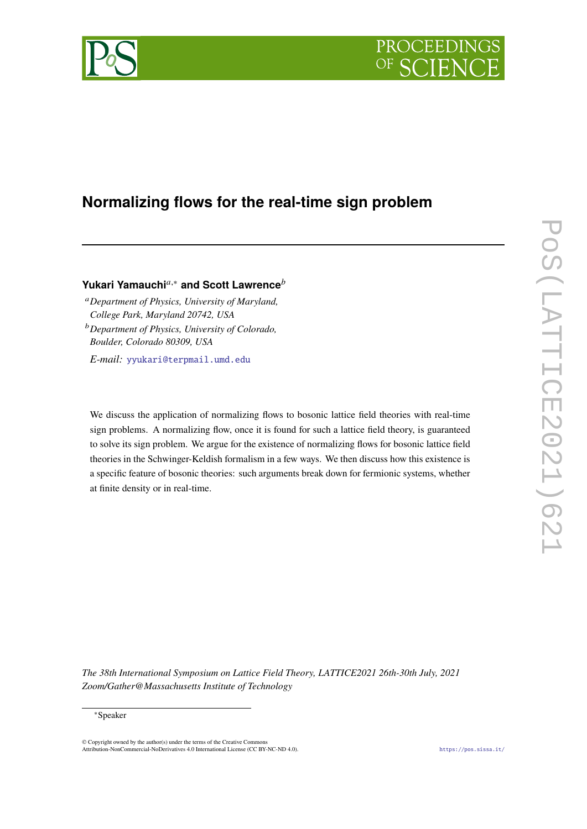

# **Normalizing flows for the real-time sign problem**

# **Yukari Yamauchi**<sup>a,∗</sup> and Scott Lawrence<sup>*b*</sup>

*Department of Physics, University of Maryland, College Park, Maryland 20742, USA Department of Physics, University of Colorado, Boulder, Colorado 80309, USA*

*E-mail:* [yyukari@terpmail.umd.edu](mailto:yyukari@terpmail.umd.edu)

We discuss the application of normalizing flows to bosonic lattice field theories with real-time sign problems. A normalizing flow, once it is found for such a lattice field theory, is guaranteed to solve its sign problem. We argue for the existence of normalizing flows for bosonic lattice field theories in the Schwinger-Keldish formalism in a few ways. We then discuss how this existence is a specific feature of bosonic theories: such arguments break down for fermionic systems, whether at finite density or in real-time.

*The 38th International Symposium on Lattice Field Theory, LATTICE2021 26th-30th July, 2021 Zoom/Gather@Massachusetts Institute of Technology*

#### <sup>∗</sup>Speaker

© Copyright owned by the author(s) under the terms of the Creative Commons Attribution-NonCommercial-NoDerivatives 4.0 International License (CC BY-NC-ND 4.0). <https://pos.sissa.it/>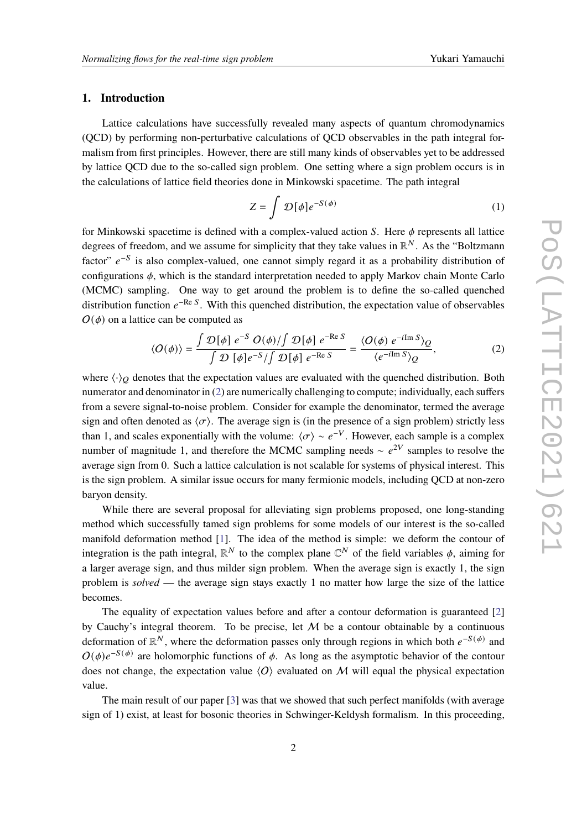# **1. Introduction**

Lattice calculations have successfully revealed many aspects of quantum chromodynamics (QCD) by performing non-perturbative calculations of QCD observables in the path integral formalism from first principles. However, there are still many kinds of observables yet to be addressed by lattice QCD due to the so-called sign problem. One setting where a sign problem occurs is in the calculations of lattice field theories done in Minkowski spacetime. The path integral

$$
Z = \int \mathcal{D}[\phi] e^{-S(\phi)} \tag{1}
$$

for Minkowski spacetime is defined with a complex-valued action  $S$ . Here  $\phi$  represents all lattice degrees of freedom, and we assume for simplicity that they take values in  $\mathbb{R}^N$ . As the "Boltzmann factor"  $e^{-S}$  is also complex-valued, one cannot simply regard it as a probability distribution of configurations  $\phi$ , which is the standard interpretation needed to apply Markov chain Monte Carlo (MCMC) sampling. One way to get around the problem is to define the so-called quenched distribution function  $e^{-\text{Re } S}$ . With this quenched distribution, the expectation value of observables  $O(\phi)$  on a lattice can be computed as

<span id="page-1-0"></span>
$$
\langle O(\phi) \rangle = \frac{\int \mathcal{D}[\phi] e^{-S} O(\phi) / \int \mathcal{D}[\phi] e^{-\text{Re } S}}{\int \mathcal{D}[\phi] e^{-S} / \int \mathcal{D}[\phi] e^{-\text{Re } S}} = \frac{\langle O(\phi) e^{-i \text{Im } S} \rangle_{Q}}{\langle e^{-i \text{Im } S} \rangle_{Q}}, \tag{2}
$$

where  $\langle \cdot \rangle_Q$  denotes that the expectation values are evaluated with the quenched distribution. Both numerator and denominator in [\(2\)](#page-1-0) are numerically challenging to compute; individually, each suffers from a severe signal-to-noise problem. Consider for example the denominator, termed the average sign and often denoted as  $\langle \sigma \rangle$ . The average sign is (in the presence of a sign problem) strictly less than 1, and scales exponentially with the volume:  $\langle \sigma \rangle \sim e^{-V}$ . However, each sample is a complex number of magnitude 1, and therefore the MCMC sampling needs  $\sim e^{2V}$  samples to resolve the average sign from 0. Such a lattice calculation is not scalable for systems of physical interest. This is the sign problem. A similar issue occurs for many fermionic models, including QCD at non-zero baryon density.

While there are several proposal for alleviating sign problems proposed, one long-standing method which successfully tamed sign problems for some models of our interest is the so-called manifold deformation method [\[1\]](#page-8-0). The idea of the method is simple: we deform the contour of integration is the path integral,  $\mathbb{R}^N$  to the complex plane  $\mathbb{C}^N$  of the field variables  $\phi$ , aiming for a larger average sign, and thus milder sign problem. When the average sign is exactly 1, the sign problem is *solved* — the average sign stays exactly 1 no matter how large the size of the lattice becomes.

The equality of expectation values before and after a contour deformation is guaranteed [\[2\]](#page-8-1) by Cauchy's integral theorem. To be precise, let  $M$  be a contour obtainable by a continuous deformation of  $\mathbb{R}^N$ , where the deformation passes only through regions in which both  $e^{-S(\phi)}$  and  $O(\phi)e^{-S(\phi)}$  are holomorphic functions of  $\phi$ . As long as the asymptotic behavior of the contour does not change, the expectation value  $\langle O \rangle$  evaluated on M will equal the physical expectation value.

The main result of our paper [\[3\]](#page-8-2) was that we showed that such perfect manifolds (with average sign of 1) exist, at least for bosonic theories in Schwinger-Keldysh formalism. In this proceeding,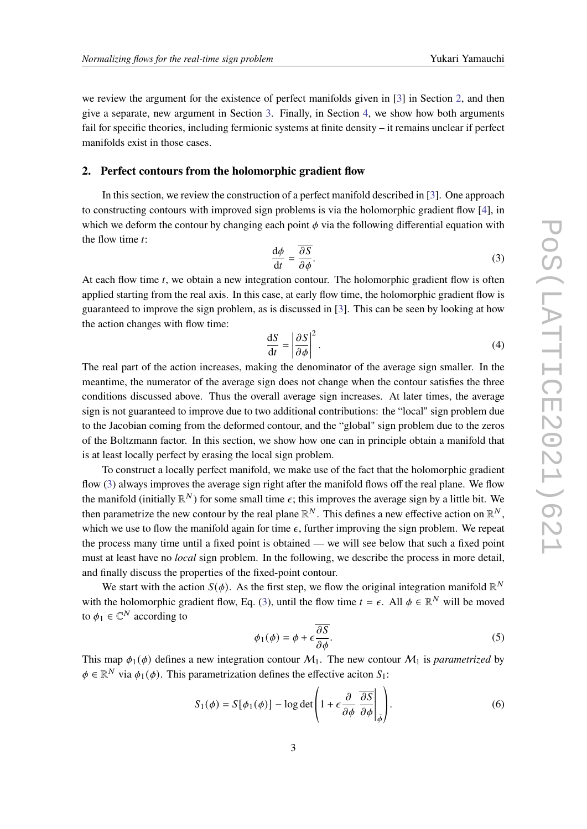we review the argument for the existence of perfect manifolds given in [\[3\]](#page-8-2) in Section [2,](#page-2-0) and then give a separate, new argument in Section [3.](#page-4-0) Finally, in Section [4,](#page-6-0) we show how both arguments fail for specific theories, including fermionic systems at finite density – it remains unclear if perfect manifolds exist in those cases.

### <span id="page-2-0"></span>**2. Perfect contours from the holomorphic gradient flow**

In this section, we review the construction of a perfect manifold described in [\[3\]](#page-8-2). One approach to constructing contours with improved sign problems is via the holomorphic gradient flow [\[4\]](#page-8-3), in which we deform the contour by changing each point  $\phi$  via the following differential equation with the flow time  $t$ :

<span id="page-2-1"></span>
$$
\frac{\mathrm{d}\phi}{\mathrm{d}t} = \frac{\overline{\partial S}}{\partial \phi}.\tag{3}
$$

At each flow time  $t$ , we obtain a new integration contour. The holomorphic gradient flow is often applied starting from the real axis. In this case, at early flow time, the holomorphic gradient flow is guaranteed to improve the sign problem, as is discussed in [\[3\]](#page-8-2). This can be seen by looking at how the action changes with flow time:

$$
\frac{\mathrm{d}S}{\mathrm{d}t} = \left| \frac{\partial S}{\partial \phi} \right|^2. \tag{4}
$$

The real part of the action increases, making the denominator of the average sign smaller. In the meantime, the numerator of the average sign does not change when the contour satisfies the three conditions discussed above. Thus the overall average sign increases. At later times, the average sign is not guaranteed to improve due to two additional contributions: the "local" sign problem due to the Jacobian coming from the deformed contour, and the "global" sign problem due to the zeros of the Boltzmann factor. In this section, we show how one can in principle obtain a manifold that is at least locally perfect by erasing the local sign problem.

To construct a locally perfect manifold, we make use of the fact that the holomorphic gradient flow [\(3\)](#page-2-1) always improves the average sign right after the manifold flows off the real plane. We flow the manifold (initially  $\mathbb{R}^N$ ) for some small time  $\epsilon$ ; this improves the average sign by a little bit. We then parametrize the new contour by the real plane  $\mathbb{R}^N$ . This defines a new effective action on  $\mathbb{R}^N$ , which we use to flow the manifold again for time  $\epsilon$ , further improving the sign problem. We repeat the process many time until a fixed point is obtained — we will see below that such a fixed point must at least have no *local* sign problem. In the following, we describe the process in more detail, and finally discuss the properties of the fixed-point contour.

We start with the action  $S(\phi)$ . As the first step, we flow the original integration manifold  $\mathbb{R}^N$ with the holomorphic gradient flow, Eq. [\(3\)](#page-2-1), until the flow time  $t = \epsilon$ . All  $\phi \in \mathbb{R}^N$  will be moved to  $\phi_1 \in \mathbb{C}^N$  according to

$$
\phi_1(\phi) = \phi + \epsilon \frac{\overline{\partial S}}{\partial \phi}.
$$
\n(5)

This map  $\phi_1(\phi)$  defines a new integration contour  $M_1$ . The new contour  $M_1$  is *parametrized* by  $\phi \in \mathbb{R}^N$  via  $\phi_1(\phi)$ . This parametrization defines the effective aciton  $S_1$ :

$$
S_1(\phi) = S[\phi_1(\phi)] - \log \det \left( 1 + \epsilon \frac{\partial}{\partial \phi} \left( \frac{\partial S}{\partial \phi} \right) \right).
$$
 (6)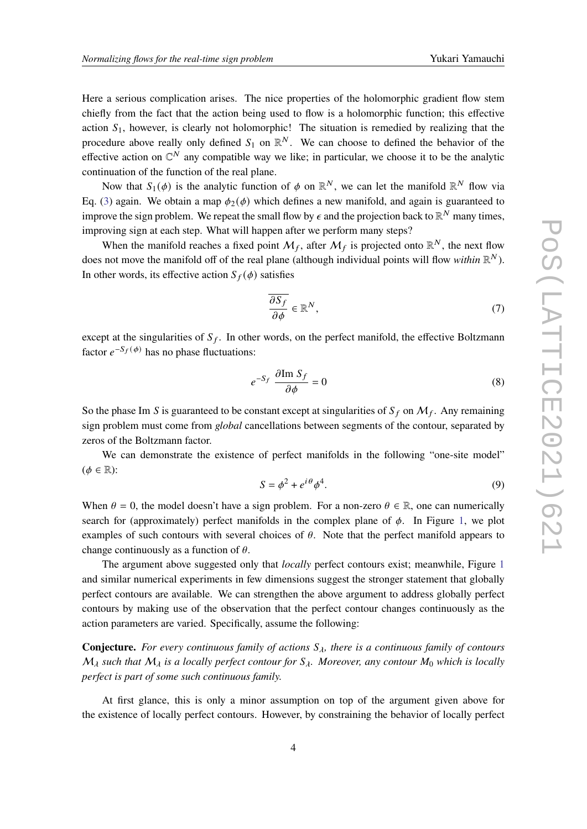Here a serious complication arises. The nice properties of the holomorphic gradient flow stem chiefly from the fact that the action being used to flow is a holomorphic function; this effective action  $S_1$ , however, is clearly not holomorphic! The situation is remedied by realizing that the procedure above really only defined  $S_1$  on  $\mathbb{R}^N$ . We can choose to defined the behavior of the effective action on  $\mathbb{C}^N$  any compatible way we like; in particular, we choose it to be the analytic continuation of the function of the real plane.

Now that  $S_1(\phi)$  is the analytic function of  $\phi$  on  $\mathbb{R}^N$ , we can let the manifold  $\mathbb{R}^N$  flow via Eq. [\(3\)](#page-2-1) again. We obtain a map  $\phi_2(\phi)$  which defines a new manifold, and again is guaranteed to improve the sign problem. We repeat the small flow by  $\epsilon$  and the projection back to  $\mathbb{R}^N$  many times, improving sign at each step. What will happen after we perform many steps?

When the manifold reaches a fixed point  $M_f$ , after  $M_f$  is projected onto  $\mathbb{R}^N$ , the next flow does not move the manifold off of the real plane (although individual points will flow *within*  $\mathbb{R}^N$ ). In other words, its effective action  $S_f(\phi)$  satisfies

$$
\frac{\partial S_f}{\partial \phi} \in \mathbb{R}^N,\tag{7}
$$

except at the singularities of  $S_f$ . In other words, on the perfect manifold, the effective Boltzmann factor  $e^{-S_f(\phi)}$  has no phase fluctuations:

$$
e^{-S_f} \frac{\partial \operatorname{Im} S_f}{\partial \phi} = 0 \tag{8}
$$

So the phase Im S is guaranteed to be constant except at singularities of  $S_f$  on  $\mathcal{M}_f$ . Any remaining sign problem must come from *global* cancellations between segments of the contour, separated by zeros of the Boltzmann factor.

We can demonstrate the existence of perfect manifolds in the following "one-site model"  $(\phi \in \mathbb{R})$ :

<span id="page-3-0"></span>
$$
S = \phi^2 + e^{i\theta} \phi^4. \tag{9}
$$

When  $\theta = 0$ , the model doesn't have a sign problem. For a non-zero  $\theta \in \mathbb{R}$ , one can numerically search for (approximately) perfect manifolds in the complex plane of  $\phi$ . In Figure [1,](#page-4-1) we plot examples of such contours with several choices of  $\theta$ . Note that the perfect manifold appears to change continuously as a function of  $\theta$ .

The argument above suggested only that *locally* perfect contours exist; meanwhile, Figure [1](#page-4-1) and similar numerical experiments in few dimensions suggest the stronger statement that globally perfect contours are available. We can strengthen the above argument to address globally perfect contours by making use of the observation that the perfect contour changes continuously as the action parameters are varied. Specifically, assume the following:

**Conjecture.** For every continuous family of actions  $S_\lambda$ , there is a continuous family of contours  $M_{\lambda}$  such that  $M_{\lambda}$  is a locally perfect contour for  $S_{\lambda}$ . Moreover, any contour  $M_0$  which is locally *perfect is part of some such continuous family.*

At first glance, this is only a minor assumption on top of the argument given above for the existence of locally perfect contours. However, by constraining the behavior of locally perfect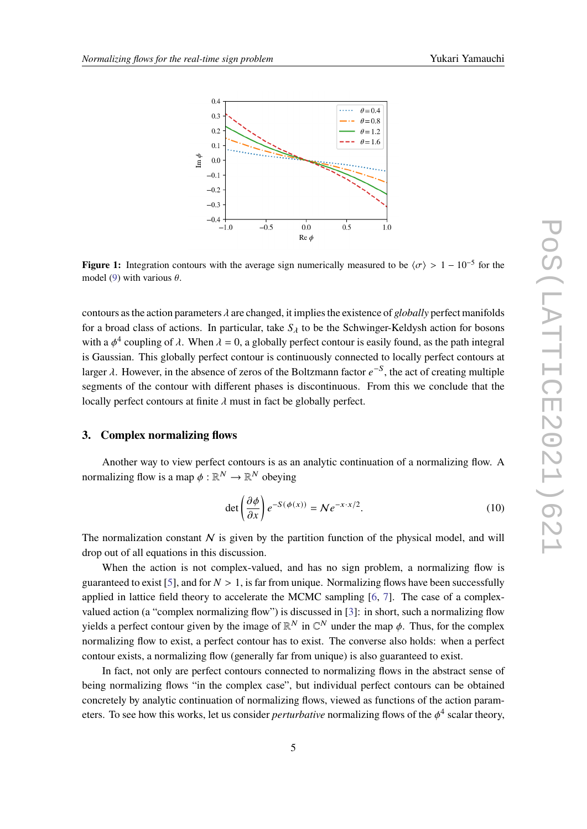<span id="page-4-1"></span>

**Figure 1:** Integration contours with the average sign numerically measured to be  $\langle \sigma \rangle > 1 - 10^{-5}$  for the model [\(9\)](#page-3-0) with various  $\theta$ .

contours as the action parameters  $\lambda$  are changed, it implies the existence of *globally* perfect manifolds for a broad class of actions. In particular, take  $S_{\lambda}$  to be the Schwinger-Keldysh action for bosons with a  $\phi^4$  coupling of  $\lambda$ . When  $\lambda = 0$ , a globally perfect contour is easily found, as the path integral is Gaussian. This globally perfect contour is continuously connected to locally perfect contours at larger  $\lambda$ . However, in the absence of zeros of the Boltzmann factor  $e^{-S}$ , the act of creating multiple segments of the contour with different phases is discontinuous. From this we conclude that the locally perfect contours at finite  $\lambda$  must in fact be globally perfect.

# <span id="page-4-0"></span>**3. Complex normalizing flows**

Another way to view perfect contours is as an analytic continuation of a normalizing flow. A normalizing flow is a map  $\phi : \mathbb{R}^N \to \mathbb{R}^N$  obeying

<span id="page-4-2"></span>
$$
\det\left(\frac{\partial\phi}{\partial x}\right)e^{-S(\phi(x))} = Ne^{-x\cdot x/2}.
$$
\n(10)

The normalization constant  $N$  is given by the partition function of the physical model, and will drop out of all equations in this discussion.

When the action is not complex-valued, and has no sign problem, a normalizing flow is guaranteed to exist [\[5\]](#page-8-4), and for  $N > 1$ , is far from unique. Normalizing flows have been successfully applied in lattice field theory to accelerate the MCMC sampling [\[6,](#page-8-5) [7\]](#page-8-6). The case of a complexvalued action (a "complex normalizing flow") is discussed in [\[3\]](#page-8-2): in short, such a normalizing flow yields a perfect contour given by the image of  $\mathbb{R}^N$  in  $\mathbb{C}^N$  under the map  $\phi$ . Thus, for the complex normalizing flow to exist, a perfect contour has to exist. The converse also holds: when a perfect contour exists, a normalizing flow (generally far from unique) is also guaranteed to exist.

In fact, not only are perfect contours connected to normalizing flows in the abstract sense of being normalizing flows "in the complex case", but individual perfect contours can be obtained concretely by analytic continuation of normalizing flows, viewed as functions of the action parameters. To see how this works, let us consider *perturbative* normalizing flows of the  $\phi^4$  scalar theory,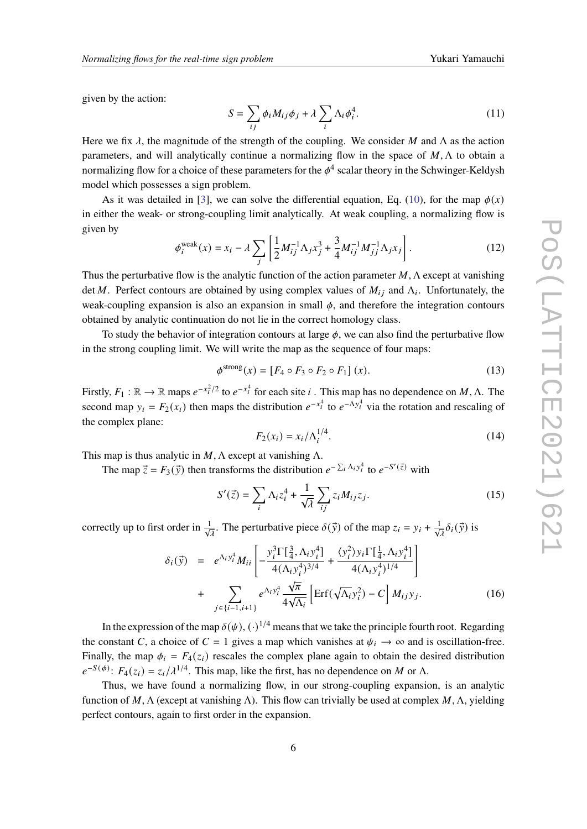given by the action:

$$
S = \sum_{ij} \phi_i M_{ij} \phi_j + \lambda \sum_i \Lambda_i \phi_i^4.
$$
 (11)

Here we fix  $\lambda$ , the magnitude of the strength of the coupling. We consider M and  $\Lambda$  as the action parameters, and will analytically continue a normalizing flow in the space of  $M, \Lambda$  to obtain a normalizing flow for a choice of these parameters for the  $\phi^4$  scalar theory in the Schwinger-Keldysh model which possesses a sign problem.

As it was detailed in [\[3\]](#page-8-2), we can solve the differential equation, Eq. [\(10\)](#page-4-2), for the map  $\phi(x)$ in either the weak- or strong-coupling limit analytically. At weak coupling, a normalizing flow is given by

$$
\phi_i^{\text{weak}}(x) = x_i - \lambda \sum_j \left[ \frac{1}{2} M_{ij}^{-1} \Lambda_j x_j^3 + \frac{3}{4} M_{ij}^{-1} M_{jj}^{-1} \Lambda_j x_j \right]. \tag{12}
$$

Thus the perturbative flow is the analytic function of the action parameter  $M$ ,  $\Lambda$  except at vanishing det M. Perfect contours are obtained by using complex values of  $M_{ij}$  and  $\Lambda_i$ . Unfortunately, the weak-coupling expansion is also an expansion in small  $\phi$ , and therefore the integration contours obtained by analytic continuation do not lie in the correct homology class.

To study the behavior of integration contours at large  $\phi$ , we can also find the perturbative flow in the strong coupling limit. We will write the map as the sequence of four maps:

$$
\phi^{\text{strong}}(x) = [F_4 \circ F_3 \circ F_2 \circ F_1] (x). \tag{13}
$$

Firstly,  $F_1 : \mathbb{R} \to \mathbb{R}$  maps  $e^{-x_i^2/2}$  to  $e^{-x_i^4}$  for each site *i*. This map has no dependence on M,  $\Lambda$ . The second map  $y_i = F_2(x_i)$  then maps the distribution  $e^{-x_i^4}$  to  $e^{-\Lambda y_i^4}$  via the rotation and rescaling of the complex plane:

$$
F_2(x_i) = x_i / \Lambda_i^{1/4}.
$$
 (14)

This map is thus analytic in  $M$ ,  $\Lambda$  except at vanishing  $\Lambda$ .

The map  $\vec{z} = F_3(\vec{y})$  then transforms the distribution  $e^{-\sum_i \Lambda_i y_i^4}$  to  $e^{-S'(\vec{z})}$  with

$$
S'(\vec{z}) = \sum_{i} \Lambda_i z_i^4 + \frac{1}{\sqrt{\lambda}} \sum_{ij} z_i M_{ij} z_j.
$$
 (15)

correctly up to first order in  $\frac{1}{\sqrt{\lambda}}$ . The perturbative piece  $\delta(\vec{y})$  of the map  $z_i = y_i + \frac{1}{\sqrt{\lambda}} \delta_i(\vec{y})$  is

$$
\delta_{i}(\vec{y}) = e^{\Lambda_{i}y_{i}^{4}} M_{ii} \left[ -\frac{y_{i}^{3} \Gamma[\frac{3}{4}, \Lambda_{i}y_{i}^{4}]}{4(\Lambda_{i}y_{i}^{4})^{3/4}} + \frac{\langle y_{i}^{2} \rangle y_{i} \Gamma[\frac{1}{4}, \Lambda_{i}y_{i}^{4}]}{4(\Lambda_{i}y_{i}^{4})^{1/4}} \right] + \sum_{j \in \{i-1, i+1\}} e^{\Lambda_{i}y_{i}^{4}} \frac{\sqrt{\pi}}{4\sqrt{\Lambda_{i}}} \left[ \text{Erf}(\sqrt{\Lambda_{i}}y_{i}^{2}) - C \right] M_{ij} y_{j}. \tag{16}
$$

In the expression of the map  $\delta(\psi)$ ,  $(\cdot)^{1/4}$  means that we take the principle fourth root. Regarding the constant C, a choice of  $C = 1$  gives a map which vanishes at  $\psi_i \to \infty$  and is oscillation-free. Finally, the map  $\phi_i = F_4(z_i)$  rescales the complex plane again to obtain the desired distribution  $e^{-S(\phi)}$ :  $F_4(z_i) = z_i/\lambda^{1/4}$ . This map, like the first, has no dependence on M or  $\Lambda$ .

Thus, we have found a normalizing flow, in our strong-coupling expansion, is an analytic function of M,  $\Lambda$  (except at vanishing  $\Lambda$ ). This flow can trivially be used at complex M,  $\Lambda$ , yielding perfect contours, again to first order in the expansion.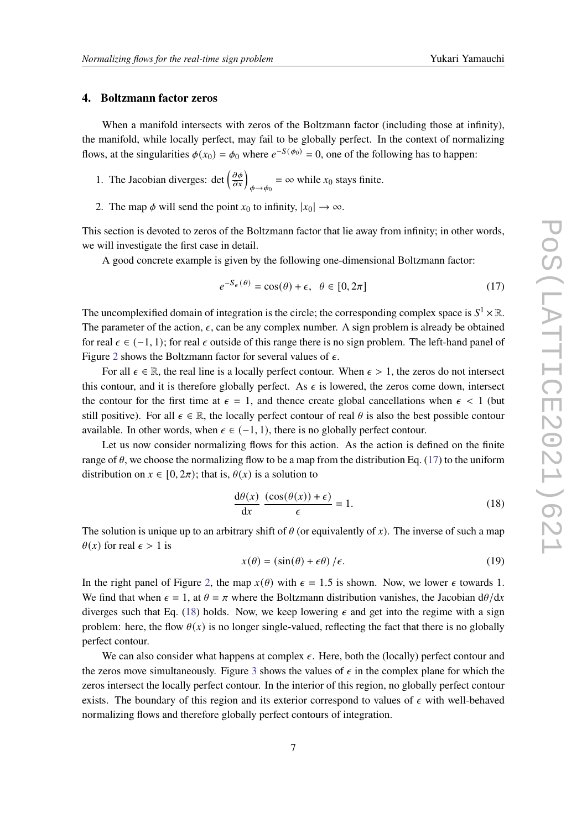#### <span id="page-6-0"></span>**4. Boltzmann factor zeros**

When a manifold intersects with zeros of the Boltzmann factor (including those at infinity), the manifold, while locally perfect, may fail to be globally perfect. In the context of normalizing flows, at the singularities  $\phi(x_0) = \phi_0$  where  $e^{-S(\phi_0)} = 0$ , one of the following has to happen:

1. The Jacobian diverges: det  $\left(\frac{\partial \phi}{\partial x}\right)_{\phi \to \phi_0} = \infty$  while  $x_0$  stays finite.

2. The map  $\phi$  will send the point  $x_0$  to infinity,  $|x_0| \to \infty$ .

This section is devoted to zeros of the Boltzmann factor that lie away from infinity; in other words, we will investigate the first case in detail.

A good concrete example is given by the following one-dimensional Boltzmann factor:

<span id="page-6-1"></span>
$$
e^{-S_{\epsilon}(\theta)} = \cos(\theta) + \epsilon, \ \theta \in [0, 2\pi]
$$
 (17)

The uncomplexified domain of integration is the circle; the corresponding complex space is  $S^1 \times \mathbb{R}$ . The parameter of the action,  $\epsilon$ , can be any complex number. A sign problem is already be obtained for real  $\epsilon \in (-1, 1)$ ; for real  $\epsilon$  outside of this range there is no sign problem. The left-hand panel of Figure [2](#page-7-0) shows the Boltzmann factor for several values of  $\epsilon$ .

For all  $\epsilon \in \mathbb{R}$ , the real line is a locally perfect contour. When  $\epsilon > 1$ , the zeros do not intersect this contour, and it is therefore globally perfect. As  $\epsilon$  is lowered, the zeros come down, intersect the contour for the first time at  $\epsilon = 1$ , and thence create global cancellations when  $\epsilon < 1$  (but still positive). For all  $\epsilon \in \mathbb{R}$ , the locally perfect contour of real  $\theta$  is also the best possible contour available. In other words, when  $\epsilon \in (-1, 1)$ , there is no globally perfect contour.

Let us now consider normalizing flows for this action. As the action is defined on the finite range of  $\theta$ , we choose the normalizing flow to be a map from the distribution Eq. [\(17\)](#page-6-1) to the uniform distribution on  $x \in [0, 2\pi)$ ; that is,  $\theta(x)$  is a solution to

<span id="page-6-2"></span>
$$
\frac{d\theta(x)}{dx} \frac{(\cos(\theta(x)) + \epsilon)}{\epsilon} = 1.
$$
 (18)

The solution is unique up to an arbitrary shift of  $\theta$  (or equivalently of x). The inverse of such a map  $\theta(x)$  for real  $\epsilon > 1$  is

$$
x(\theta) = (\sin(\theta) + \epsilon \theta) / \epsilon.
$$
 (19)

In the right panel of Figure [2,](#page-7-0) the map  $x(\theta)$  with  $\epsilon = 1.5$  is shown. Now, we lower  $\epsilon$  towards 1. We find that when  $\epsilon = 1$ , at  $\theta = \pi$  where the Boltzmann distribution vanishes, the Jacobian  $d\theta/dx$ diverges such that Eq. [\(18\)](#page-6-2) holds. Now, we keep lowering  $\epsilon$  and get into the regime with a sign problem: here, the flow  $\theta(x)$  is no longer single-valued, reflecting the fact that there is no globally perfect contour.

We can also consider what happens at complex  $\epsilon$ . Here, both the (locally) perfect contour and the zeros move simultaneously. Figure [3](#page-7-1) shows the values of  $\epsilon$  in the complex plane for which the zeros intersect the locally perfect contour. In the interior of this region, no globally perfect contour exists. The boundary of this region and its exterior correspond to values of  $\epsilon$  with well-behaved normalizing flows and therefore globally perfect contours of integration.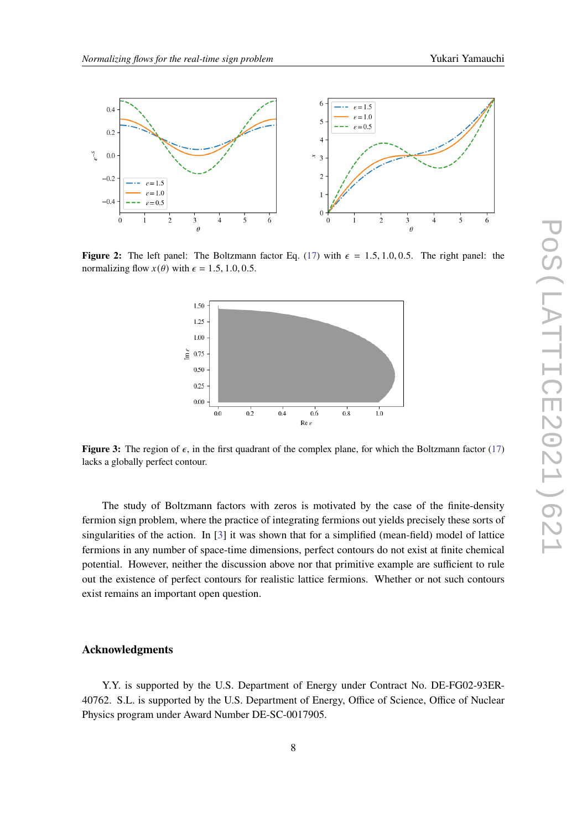<span id="page-7-0"></span>

<span id="page-7-1"></span>**Figure 2:** The left panel: The Boltzmann factor Eq. [\(17\)](#page-6-1) with  $\epsilon = 1.5, 1.0, 0.5$ . The right panel: the normalizing flow  $x(\theta)$  with  $\epsilon = 1.5, 1.0, 0.5$ .



**Figure 3:** The region of  $\epsilon$ , in the first quadrant of the complex plane, for which the Boltzmann factor [\(17\)](#page-6-1) lacks a globally perfect contour.

The study of Boltzmann factors with zeros is motivated by the case of the finite-density fermion sign problem, where the practice of integrating fermions out yields precisely these sorts of singularities of the action. In [\[3\]](#page-8-2) it was shown that for a simplified (mean-field) model of lattice fermions in any number of space-time dimensions, perfect contours do not exist at finite chemical potential. However, neither the discussion above nor that primitive example are sufficient to rule out the existence of perfect contours for realistic lattice fermions. Whether or not such contours exist remains an important open question.

#### **Acknowledgments**

Y.Y. is supported by the U.S. Department of Energy under Contract No. DE-FG02-93ER-40762. S.L. is supported by the U.S. Department of Energy, Office of Science, Office of Nuclear Physics program under Award Number DE-SC-0017905.